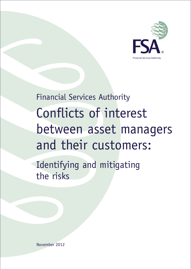

Financial Services Authority Conflicts of interest between asset managers and their customers: Identifying and mitigating the risks

November 2012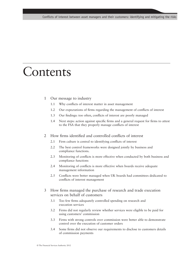### **Contents**

#### 1 Our message to industry

- 1.1 Why conflicts of interest matter in asset management
- 1.2 Our expectations of firms regarding the management of conflicts of interest
- 1.3 Our findings: too often, conflicts of interest are poorly managed
- 1.4 Next steps: action against specific firms and a general request for firms to attest to the FSA that they properly manage conflicts of interest

#### 2 How firms identified and controlled conflicts of interest

- 2.1 Firm culture is central to identifying conflicts of interest
- 2.2 The best control frameworks were designed jointly by business and compliance functions.
- 2.3 Monitoring of conflicts is more effective when conducted by both business and compliance functions
- 2.4 Monitoring of conflicts is more effective when boards receive adequate management information
- 2.5 Conflicts were better managed when UK boards had committees dedicated to conflicts of interest management
- 3 How firms managed the purchase of research and trade execution services on behalf of customers
	- 3.1 Too few firms adequately controlled spending on research and execution services
	- 3.2 Firms did not regularly review whether services were eligible to be paid for using customers' commission
	- 3.3 Firms with strong controls over commission were better able to demonstrate control over the execution of customer orders
	- 3.4 Some firms did not observe our requirements to disclose to customers details of commission payments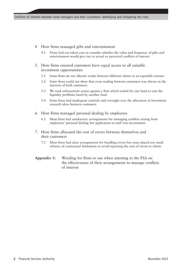- 4 How firms managed gifts and entertainment
	- 4.1 Firms had not taken care to consider whether the value and frequency of gifts and entertainment would give rise to actual or perceived conflicts of interest
- 5. How firms ensured customers have equal access to all suitable investment opportunities
	- 5.1 Some firms do not allocate trades between different clients in an equitable manner
	- 5.2 Some firms could not show that cross trading between customers was always in the interests of both customers
	- 5.3 We took enforcement action against a firm which traded for one fund to ease the liquidity problems faced by another fund
	- 5.4 Some firms had inadequate controls and oversight over the allocation of investment research ideas between customers
- 6. How firms managed personal dealing by employees
	- 6.1 Most firms had satisfactory arrangements for managing conflicts arising from employees' personal dealing but application to staff was inconsistent
- 7. How firms allocated the cost of errors between themselves and their customers
	- 7.1 Most firms had clear arrangements for handling errors but some placed too much reliance of contractual limitations to avoid reporting the cost of errors to clients
- **Appendix 1:** Wording for firms to use when attesting to the FSA on the effectiveness of their arrangements to manage conflicts of interest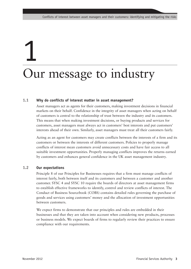# 1 Our message to industry

#### **1.1 Why do conflicts of interest matter in asset management?**

Asset managers act as agents for their customers, making investment decisions in financial markets on their behalf. Confidence in the integrity of asset managers when acting on behalf of customers is central to the relationship of trust between the industry and its customers. This means that when making investment decisions, or buying products and services for customers, asset managers must always act in customers' best interests and put customers' interests ahead of their own. Similarly, asset managers must treat all their customers fairly.

Acting as an agent for customers may create conflicts between the interests of a firm and its customers or between the interests of different customers. Policies to properly manage conflicts of interest mean customers avoid unnecessary costs and have fair access to all suitable investment opportunities. Properly managing conflicts improves the returns earned by customers and enhances general confidence in the UK asset management industry.

#### **1.2 Our expectations**

Principle 8 of our Principles for Businesses requires that a firm must manage conflicts of interest fairly, both between itself and its customers and between a customer and another customer. SYSC 4 and SYSC 10 require the boards of directors at asset management firms to establish effective frameworks to identify, control and review conflicts of interest. The Conduct of Business Sourcebook (COBS) contains detailed rules governing the purchase of goods and services using customers' money and the allocation of investment opportunities between customers.

We expect firms to demonstrate that our principles and rules are embedded in their businesses and that they are taken into account when considering new products, processes or business models. We expect boards of firms to regularly review their practices to ensure compliance with our requirements.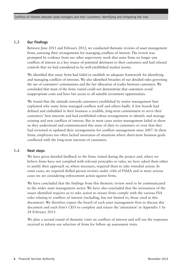#### **1.3 Our findings**

Between June 2011 and February 2012, we conducted thematic reviews of asset management firms, assessing their arrangements for managing conflicts of interest. The review was prompted by evidence from our other supervisory work that some firms no longer saw conflicts of interest as a key source of potential detriment to their customers and had relaxed controls that we had considered to be well-established market norms.

We identified that many firms had failed to establish an adequate framework for identifying and managing conflicts of interests. We also identified breaches of our detailed rules governing the use of customers' commissions and the fair allocation of trades between customers. We concluded that most of the firms visited could not demonstrate that customers avoid inappropriate costs and have fair access to all suitable investment opportunities.

We found that the attitude towards customers established by senior management best explained why some firms managed conflicts well and others badly. A few boards had defined and embedded in their business a credible, long-term commitment to serve their customers' best interests and had established robust arrangements to identify and manage existing and new conflicts of interest. But in most cases senior management failed to show us they understood and communicated this sense of duty to customers or even that they had reviewed or updated their arrangements for conflicts management since 2007. In these firms, employees too often lacked awareness of situations where short-term business goals conflicted with the long-term interests of customers.

#### **1.4 Next steps**

We have given detailed feedback to the firms visited during the project and, where we believe firms have not complied with relevant principles or rules, we have asked them either to justify their approach or, where necessary, required them to take remedial action. In some cases, we required skilled person reviews under s166 of FSMA and in more serious cases we are considering enforcement action against firms.

We have concluded that the findings from this thematic review need to be communicated to the wider asset management sector. We have also concluded that the seriousness of the issues identified requires us to take action to ensure firms comply with the various FSA rules relating to conflicts of interest (including, but not limited to, those cited in this document). We therefore expect the board of each asset management firm to discuss this document and each firm's CEO to complete and return the 'attestation' in Appendix 1 by 28 February 2013.

We plan a second round of thematic visits on conflicts of interest and will use the responses received to inform our selection of firms for follow up assessment visits.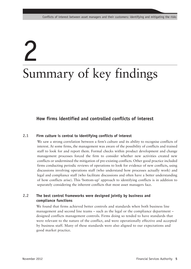# 2 Summary of key findings

#### **How firms identified and controlled conflicts of interest**

#### **2.1 Firm culture is central to identifying conflicts of interest**

We saw a strong correlation between a firm's culture and its ability to recognise conflicts of interest. At some firms, the management was aware of the possibility of conflicts and trained staff to look for and report them. Formal checks within product development and change management processes forced the firm to consider whether new activities created new conflicts or undermined the mitigation of pre-existing conflicts. Other good practice included firms conducting periodic reviews of operations to look for evidence of new conflicts, using discussions involving operations staff (who understand how processes actually work) and legal and compliance staff (who facilitate discussions and often have a better understanding of how conflicts arise). This 'bottom-up' approach to identifying conflicts is in addition to separately considering the inherent conflicts that most asset managers face.

#### **2.2 The best control frameworks were designed jointly by business and compliance functions**

We found that firms achieved better controls and standards when both business line management and second line teams – such as the legal or the compliance department – designed conflicts management controls. Firms doing so tended to have standards that were relevant to the nature of the conflict, and were operationally effective and accepted by business staff. Many of these standards were also aligned to our expectations and good market practice.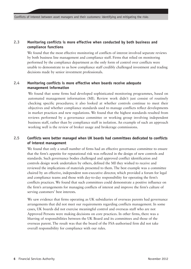#### **2.3 Monitoring conflicts is more effective when conducted by both business and compliance functions**

We found that the most effective monitoring of conflicts of interest involved separate reviews by both business line management and compliance staff. Firms that relied on monitoring performed by the compliance department as the only form of control over conflicts were unable to demonstrate to us how compliance staff credibly challenged investment and trading decisions made by senior investment professionals.

#### **2.4 Monitoring conflicts is more effective when boards receive adequate management information**

We found that some firms had developed sophisticated monitoring programmes, based on automated management information (MI). Review work didn't just consist of routinely checking specific procedures; it also looked at whether controls continue to meet their objectives and whether compliance standards used to manage conflicts reflect developments in market practices and new regulations. We found that the highest standards resulted from reviews performed by a governance committee or working group involving independent business staff, rather than by compliance staff in isolation. An example of such an approach working well is the review of broker usage and brokerage commissions.

#### **2.5 Conflicts were better managed when UK boards had committees dedicated to conflicts of interest management**

We found that only a small number of firms had an effective governance committee to ensure that the firm's appetite for reputational risk was reflected in the design of new controls and standards. Such governance bodies challenged and approved conflict identification and controls design work undertaken by others, defined the MI they wished to receive and reviewed the implications of materials presented to them. The best example was a committee chaired by an effective, independent non-executive director, which provided a forum for legal and compliance teams and those with day-to-day responsibility for operating the firm's conflicts practices. We found that such committees could demonstrate a positive influence on the firm's arrangements for managing conflicts of interest and improve the firm's culture of serving customers' best interests.

We saw evidence that firms operating as UK subsidiaries of overseas parents had governance arrangements that did not meet our requirements regarding conflicts management. In some cases, UK boards did not exercise meaningful control and overseas staff who are not Approved Persons were making decisions on core practices. In other firms, there was a blurring of responsibilities between the UK Board and its committees and those of the overseas parent. The result was that the board of the FSA-authorised firm did not take overall responsibility for compliance with our rules.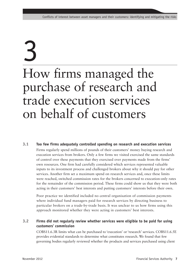### 3 How firms managed the purchase of research and trade execution services on behalf of customers

#### **3.1 Too few firms adequately controlled spending on research and execution services**

Firms regularly spend millions of pounds of their customers' money buying research and execution services from brokers. Only a few firms we visited exercised the same standards of control over these payments that they exercised over payments made from the firms' own resources. One firm had carefully considered which services represented valuable inputs to its investment process and challenged brokers about why it should pay for other services. Another firm set a maximum spend on research services and, once these limits were reached, switched commission rates for the brokers concerned to execution-only rates for the remainder of the commission period. These firms could show us that they were both acting in their customers' best interests and putting customers' interests before their own.

Poor practice we identified included no central organisation of commission payments where individual fund managers paid for research services by directing business to particular brokers on a trade-by-trade basis. It was unclear to us how firms using this approach monitored whether they were acting in customers' best interests.

#### **3.2 Firms did not regularly review whether services were eligible to be paid for using customers' commission**

COBS11.6.3R limits what can be purchased to 'execution' or 'research' services. COBS11.6.5E provides evidential standards to determine what constitutes research. We found that few governing bodies regularly reviewed whether the products and services purchased using client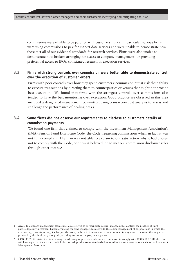commissions were eligible to be paid for with customers' funds. In particular, various firms were using commissions to pay for market data services and were unable to demonstrate how these met all of our evidential standards for research services. Firms were also unable to demonstrate how brokers arranging for access to company management<sup>1</sup> or providing preferential access to IPOs, constituted research or execution services.

#### **3.3 Firms with strong controls over commission were better able to demonstrate control over the execution of customer orders**

Firms with poor controls over how they spend customers' commission put at risk their ability to execute transactions by directing them to counterparties or venues that might not provide best execution. We found that firms with the strongest controls over commissions also tended to have the best monitoring over execution. Good practice we observed in this area included a designated management committee, using transaction cost analysis to assess and challenge the performance of dealing desks.

#### **3.4 Some firms did not observe our requirements to disclose to customers details of commission payments**

We found one firm that claimed to comply with the Investment Management Association's (IMA) Pension Fund Disclosure Code (the Code) regarding commissions when, in fact, it was not fully compliant. The firm was not able to explain to our satisfaction why it had chosen not to comply with the Code, nor how it believed it had met our commission disclosure rules through other means.<sup>2</sup>

Access to company management (sometimes also referred to as 'corporate access') means, in this context, the practice of third parties (typically investment banks) arranging for asset managers to meet with the senior management of corporations in which the asset manager invests, or might subsequently invest, on behalf of customers. It does not refer to any research services that might be provided by the third party alongside providing access to company management.

<sup>2</sup> COBS 11.7.17G states that in assessing the adequacy of periodic disclosures a firm makes to comply with COBS 11.7.15R, the FSA will have regard to the extent to which the firm adopts disclosure standards developed by industry associations such as the Investment Management Association.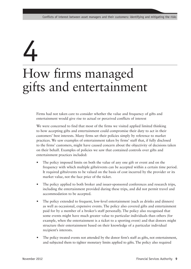## 4 How firms managed gifts and entertainment

Firms had not taken care to consider whether the value and frequency of gifts and entertainment would give rise to actual or perceived conflicts of interest

We were concerned to find that most of the firms we visited applied limited thinking to how accepting gifts and entertainment could compromise their duty to act in their customers' best interests. Many firms set their policies simply by reference to market practices. We saw examples of entertainment taken by firms' staff that, if fully disclosed to the firms' customers, might have caused concern about the objectivity of decisions taken on their behalf. Examples of policies we saw that contained controls over gifts and entertainment practices included:

- The policy imposed limits on both the value of any one gift or event and on the frequency with which multiple gifts/events can be accepted within a certain time period. It required gifts/events to be valued on the basis of cost incurred by the provider or its market value, not the face price of the ticket.
- The policy applied to both broker and issuer-sponsored conferences and research trips, including the entertainment provided during these trips, and did not permit travel and accommodation to be accepted.
- The policy extended to frequent, low-level entertainment (such as drinks and dinners) as well as occasional, expensive events. The policy also covered gifts and entertainment paid for by a member of a broker's staff personally. The policy also recognised that some events might have much greater value to particular individuals than others (for example, when the entertainment is a ticket to a sporting event) and that donors might structure their entertainment based on their knowledge of a particular individual recipient's interests.
- The policy treated events not attended by the donor firm's staff as gifts, not entertainment, and subjected them to tighter monetary limits applied to gifts. The policy also required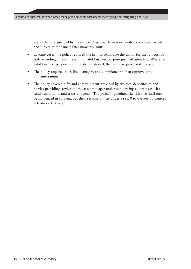events that are attended by the recipient's partner, friends or family to be treated as gifts and subject to the same tighter monetary limits.

- In some cases, the policy required the firm to reimburse the donor for the full cost of staff attending an event, even if a valid business purpose justified attending. Where no valid business purpose could be demonstrated, the policy required staff to pay.
- The policy required both line managers and compliance staff to approve gifts and entertainment.
- The policy covered gifts and entertainment provided by trustees, depositories and parties providing services to the asset manager under outsourcing contracts (such as fund accountants and transfer agents). The policy highlighted the risk that staff may be influenced in carrying out their responsibilities under SYSC 8 to oversee outsourced activities effectively.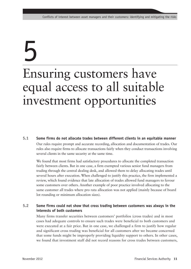## 5 Ensuring customers have equal access to all suitable investment opportunities

**5.1 Some firms do not allocate trades between different clients in an equitable manner**  Our rules require prompt and accurate recording, allocation and documentation of trades. Our rules also require firms to allocate transactions fairly when they conduct transactions involving several clients in the same security at the same time.

We found that most firms had satisfactory procedures to allocate the completed transaction fairly between clients. But in one case, a firm exempted various senior fund managers from trading through the central dealing desk, and allowed them to delay allocating trades until several hours after execution. When challenged to justify this practice, the firm implemented a review, which found evidence that late allocation of trades allowed fund managers to favour some customers over others. Another example of poor practice involved allocating to the same customer all trades where pro rata allocation was not applied (mainly because of board lot rounding or minimum allocation sizes).

#### **5.2 Some firms could not show that cross trading between customers was always in the interests of both customers**

Many firms transfer securities between customers' portfolios (cross trades) and in most cases had adequate controls to ensure such trades were beneficial to both customers and were executed at a fair price. But in one case, we challenged a firm to justify how regular and significant cross trading was beneficial for all customers after we became concerned that some funds might be improperly providing liquidity support to others. In other cases, we found that investment staff did not record reasons for cross trades between customers,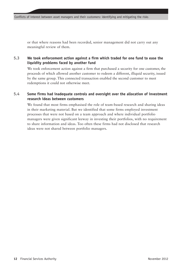or that where reasons had been recorded, senior management did not carry out any meaningful review of them.

#### **5.3 We took enforcement action against a firm which traded for one fund to ease the liquidity problems faced by another fund**

We took enforcement action against a firm that purchased a security for one customer, the proceeds of which allowed another customer to redeem a different, illiquid security, issued by the same group. This connected transaction enabled the second customer to meet redemptions it could not otherwise meet.

#### **5.4 Some firms had inadequate controls and oversight over the allocation of investment research ideas between customers**

We found that most firms emphasised the role of team-based research and sharing ideas in their marketing material. But we identified that some firms employed investment processes that were not based on a team approach and where individual portfolio managers were given significant leeway in investing their portfolios, with no requirement to share information and ideas. Too often these firms had not disclosed that research ideas were not shared between portfolio managers.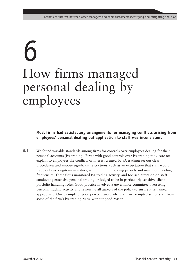## 6 How firms managed personal dealing by employees

#### **Most firms had satisfactory arrangements for managing conflicts arising from employees' personal dealing but application to staff was inconsistent**

**6.1** We found variable standards among firms for controls over employees dealing for their personal accounts (PA trading). Firms with good controls over PA trading took care to: explain to employees the conflicts of interest created by PA trading; set out clear procedures; and impose significant restrictions, such as an expectation that staff would trade only as long-term investors, with minimum holding periods and maximum trading frequencies. These firms monitored PA trading activity, and focused attention on staff conducting extensive personal trading or judged to be in particularly sensitive client portfolio handling roles. Good practice involved a governance committee overseeing personal trading activity and reviewing all aspects of the policy to ensure it remained appropriate. One example of poor practice arose where a firm exempted senior staff from some of the firm's PA trading rules, without good reason.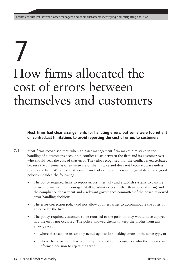## 7 How firms allocated the cost of errors between themselves and customers

**Most firms had clear arrangements for handling errors, but some were too reliant on contractual limitations to avoid reporting the cost of errors to customers**

- **7.1** Most firms recognised that, when an asset management firm makes a mistake in the handling of a customer's account, a conflict exists between the firm and its customer over who should bear the cost of that error. They also recognised that the conflict is exacerbated because the customer is often unaware of the mistake and does not become aware unless told by the firm. We found that some firms had explored this issue in great detail and good policies included the following:
	- The policy required firms to report errors internally and establish systems to capture error information. It encouraged staff to admit errors (rather than conceal them) and the compliance department and a relevant governance committee of the board reviewed error-handling decisions.
	- The error correction policy did not allow counterparties to accommodate the costs of an error by the firm.
	- The policy required customers to be returned to the position they would have enjoyed had the error not occurred. The policy allowed clients to keep the profits from any errors, except:
		- where these can be reasonably netted against loss-making errors of the same type, or
		- where the error trade has been fully disclosed to the customer who then makes an informed decision to reject the trade.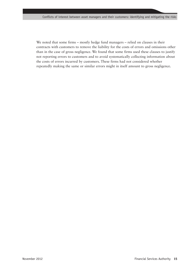We noted that some firms – mostly hedge fund managers – relied on clauses in their contracts with customers to remove the liability for the costs of errors and omissions other than in the case of gross negligence. We found that some firms used these clauses to justify not reporting errors to customers and to avoid systematically collecting information about the costs of errors incurred by customers. These firms had not considered whether repeatedly making the same or similar errors might in itself amount to gross negligence.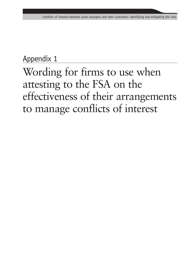### Appendix 1

### Wording for firms to use when attesting to the FSA on the effectiveness of their arrangements to manage conflicts of interest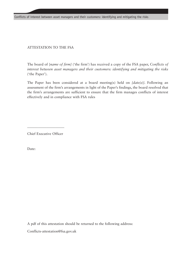Conflicts of interest between asset managers and their customers: identifying and mitigating the risks

#### ATTESTATION TO THE FSA

The board of {*name of firm}* ('the firm') has received a copy of the FSA paper, *Conflicts of interest between asset managers and their customers: identifying and mitigating the risks* ('the Paper').

The Paper has been considered at a board meeting(s) held on *{date(s)}*. Following an assessment of the firm's arrangements in light of the Paper's findings, the board resolved that the firm's arrangements are sufficient to ensure that the firm manages conflicts of interest effectively and in compliance with FSA rules

Chief Executive Officer

\_\_\_\_\_\_\_\_\_\_\_\_\_\_\_\_\_\_\_\_\_

Date:

A pdf of this attestation should be returned to the following address:

Conflicts-attestation@fsa.gov.uk